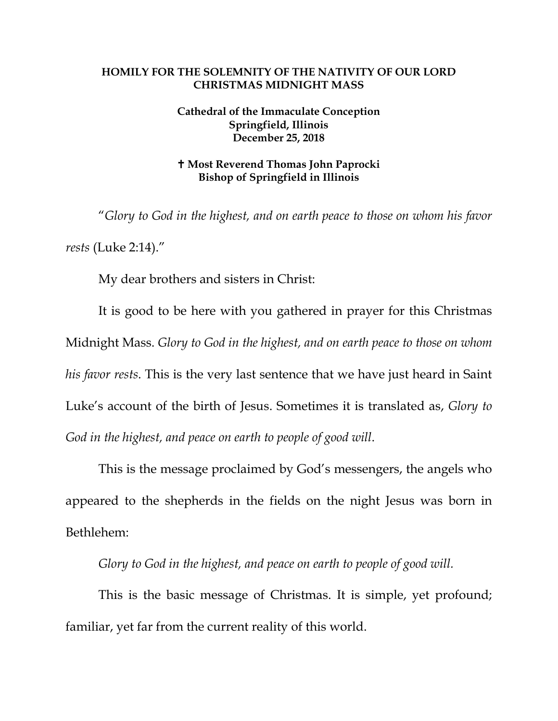## **HOMILY FOR THE SOLEMNITY OF THE NATIVITY OF OUR LORD CHRISTMAS MIDNIGHT MASS**

## **Cathedral of the Immaculate Conception Springfield, Illinois December 25, 2018**

## **Most Reverend Thomas John Paprocki Bishop of Springfield in Illinois**

"*Glory to God in the highest, and on earth peace to those on whom his favor rests* (Luke 2:14)."

My dear brothers and sisters in Christ:

It is good to be here with you gathered in prayer for this Christmas Midnight Mass. *Glory to God in the highest, and on earth peace to those on whom his favor rests*. This is the very last sentence that we have just heard in Saint Luke's account of the birth of Jesus. Sometimes it is translated as, *Glory to God in the highest, and peace on earth to people of good will*.

This is the message proclaimed by God's messengers, the angels who appeared to the shepherds in the fields on the night Jesus was born in Bethlehem:

*Glory to God in the highest, and peace on earth to people of good will.* 

This is the basic message of Christmas. It is simple, yet profound; familiar, yet far from the current reality of this world.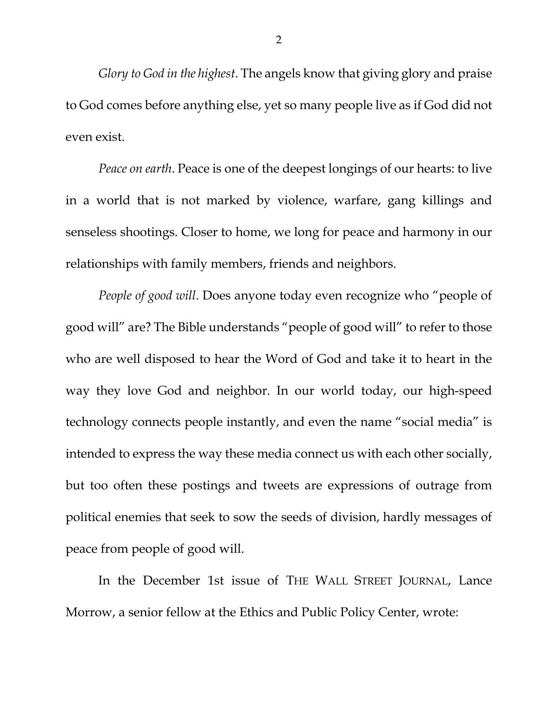*Glory to God in the highest*. The angels know that giving glory and praise to God comes before anything else, yet so many people live as if God did not even exist.

*Peace on earth*. Peace is one of the deepest longings of our hearts: to live in a world that is not marked by violence, warfare, gang killings and senseless shootings. Closer to home, we long for peace and harmony in our relationships with family members, friends and neighbors.

*People of good will*. Does anyone today even recognize who "people of good will" are? The Bible understands "people of good will" to refer to those who are well disposed to hear the Word of God and take it to heart in the way they love God and neighbor. In our world today, our high-speed technology connects people instantly, and even the name "social media" is intended to express the way these media connect us with each other socially, but too often these postings and tweets are expressions of outrage from political enemies that seek to sow the seeds of division, hardly messages of peace from people of good will.

In the December 1st issue of THE WALL STREET JOURNAL, Lance Morrow, a senior fellow at the Ethics and Public Policy Center, wrote: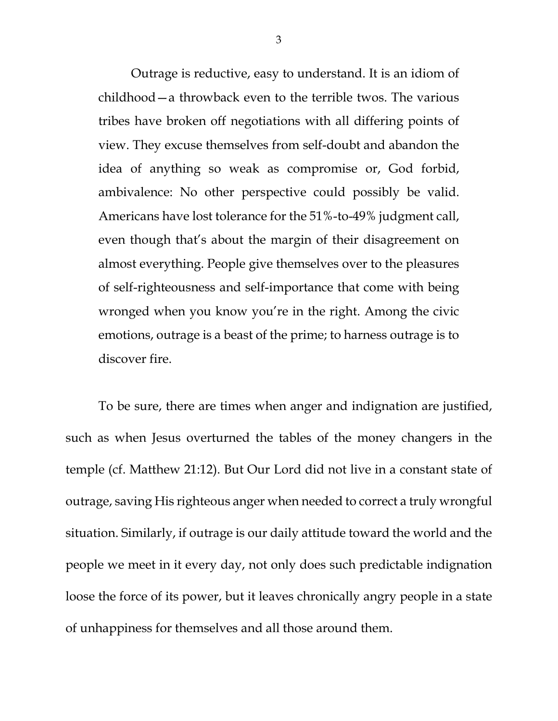Outrage is reductive, easy to understand. It is an idiom of childhood—a throwback even to the terrible twos. The various tribes have broken off negotiations with all differing points of view. They excuse themselves from self-doubt and abandon the idea of anything so weak as compromise or, God forbid, ambivalence: No other perspective could possibly be valid. Americans have lost tolerance for the 51%-to-49% judgment call, even though that's about the margin of their disagreement on almost everything. People give themselves over to the pleasures of self-righteousness and self-importance that come with being wronged when you know you're in the right. Among the civic emotions, outrage is a beast of the prime; to harness outrage is to discover fire.

To be sure, there are times when anger and indignation are justified, such as when Jesus overturned the tables of the money changers in the temple (cf. Matthew 21:12). But Our Lord did not live in a constant state of outrage, saving His righteous anger when needed to correct a truly wrongful situation. Similarly, if outrage is our daily attitude toward the world and the people we meet in it every day, not only does such predictable indignation loose the force of its power, but it leaves chronically angry people in a state of unhappiness for themselves and all those around them.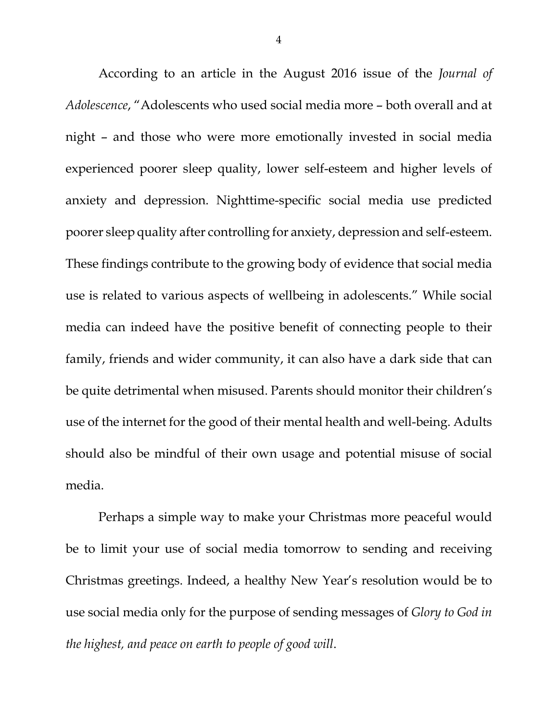According to an article in the August 2016 issue of the *Journal of Adolescence*, "Adolescents who used social media more – both overall and at night – and those who were more emotionally invested in social media experienced poorer sleep quality, lower self-esteem and higher levels of anxiety and depression. Nighttime-specific social media use predicted poorer sleep quality after controlling for anxiety, depression and self-esteem. These findings contribute to the growing body of evidence that social media use is related to various aspects of wellbeing in adolescents." While social media can indeed have the positive benefit of connecting people to their family, friends and wider community, it can also have a dark side that can be quite detrimental when misused. Parents should monitor their children's use of the internet for the good of their mental health and well-being. Adults should also be mindful of their own usage and potential misuse of social media.

Perhaps a simple way to make your Christmas more peaceful would be to limit your use of social media tomorrow to sending and receiving Christmas greetings. Indeed, a healthy New Year's resolution would be to use social media only for the purpose of sending messages of *Glory to God in the highest, and peace on earth to people of good will*.